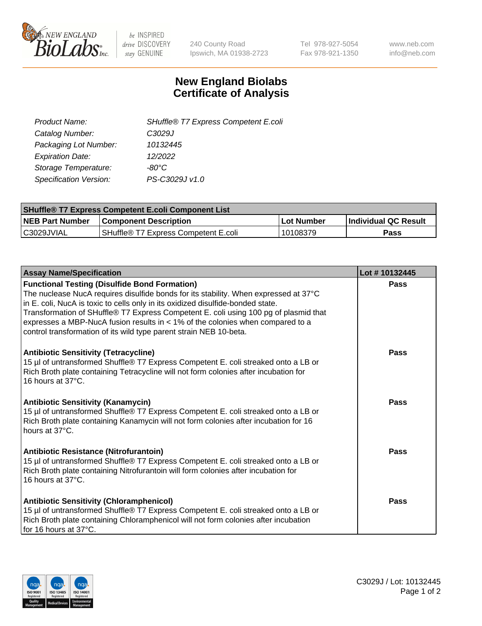

 $be$  INSPIRED drive DISCOVERY stay GENUINE

240 County Road Ipswich, MA 01938-2723 Tel 978-927-5054 Fax 978-921-1350 www.neb.com info@neb.com

## **New England Biolabs Certificate of Analysis**

| SHuffle® T7 Express Competent E.coli |
|--------------------------------------|
| C3029J                               |
| 10132445                             |
| 12/2022                              |
| -80°C.                               |
| PS-C3029J v1.0                       |
|                                      |

| <b>SHuffle<sup>®</sup> T7 Express Competent E.coli Component List</b> |                                      |            |                      |  |
|-----------------------------------------------------------------------|--------------------------------------|------------|----------------------|--|
| <b>NEB Part Number</b>                                                | <b>Component Description</b>         | Lot Number | Individual QC Result |  |
| IC3029JVIAL                                                           | SHuffle® T7 Express Competent E.coli | 10108379   | <b>Pass</b>          |  |

| <b>Assay Name/Specification</b>                                                                                                                                                                                                                                                                                                                                                                                                                                                 | Lot #10132445 |
|---------------------------------------------------------------------------------------------------------------------------------------------------------------------------------------------------------------------------------------------------------------------------------------------------------------------------------------------------------------------------------------------------------------------------------------------------------------------------------|---------------|
| <b>Functional Testing (Disulfide Bond Formation)</b><br>The nuclease NucA requires disulfide bonds for its stability. When expressed at 37°C<br>in E. coli, NucA is toxic to cells only in its oxidized disulfide-bonded state.<br>Transformation of SHuffle® T7 Express Competent E. coli using 100 pg of plasmid that<br>expresses a MBP-NucA fusion results in < 1% of the colonies when compared to a<br>control transformation of its wild type parent strain NEB 10-beta. | Pass          |
| <b>Antibiotic Sensitivity (Tetracycline)</b><br>15 µl of untransformed Shuffle® T7 Express Competent E. coli streaked onto a LB or<br>Rich Broth plate containing Tetracycline will not form colonies after incubation for<br>16 hours at 37°C.                                                                                                                                                                                                                                 | Pass          |
| <b>Antibiotic Sensitivity (Kanamycin)</b><br>15 µl of untransformed Shuffle® T7 Express Competent E. coli streaked onto a LB or<br>Rich Broth plate containing Kanamycin will not form colonies after incubation for 16<br>hours at 37°C.                                                                                                                                                                                                                                       | Pass          |
| Antibiotic Resistance (Nitrofurantoin)<br>15 µl of untransformed Shuffle® T7 Express Competent E. coli streaked onto a LB or<br>Rich Broth plate containing Nitrofurantoin will form colonies after incubation for<br>16 hours at 37°C.                                                                                                                                                                                                                                         | Pass          |
| <b>Antibiotic Sensitivity (Chloramphenicol)</b><br>15 µl of untransformed Shuffle® T7 Express Competent E. coli streaked onto a LB or<br>Rich Broth plate containing Chloramphenicol will not form colonies after incubation<br>for 16 hours at 37°C.                                                                                                                                                                                                                           | Pass          |